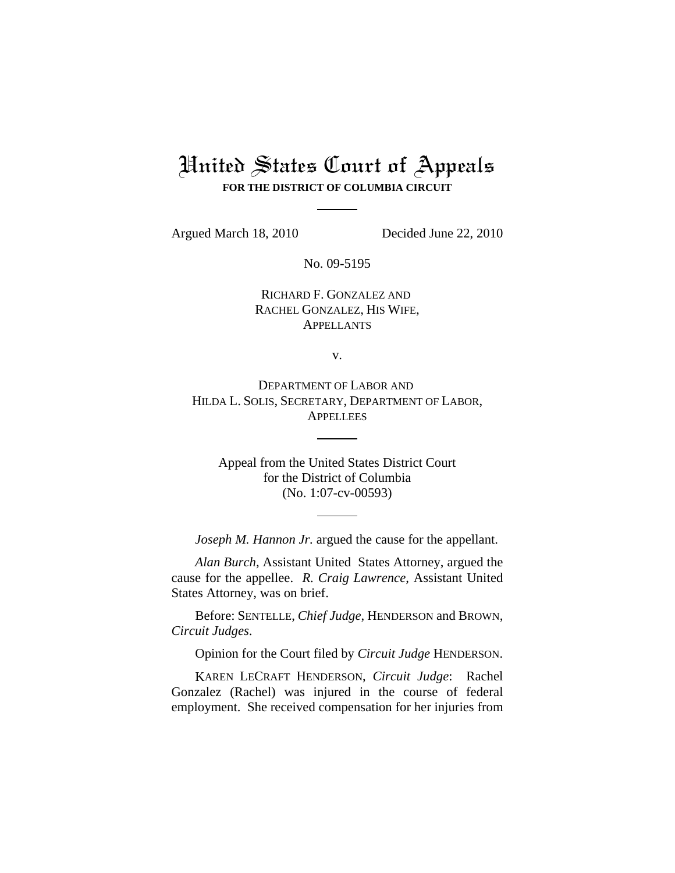# United States Court of Appeals **FOR THE DISTRICT OF COLUMBIA CIRCUIT**

Argued March 18, 2010 Decided June 22, 2010

No. 09-5195

RICHARD F. GONZALEZ AND RACHEL GONZALEZ, HIS WIFE, APPELLANTS

v.

DEPARTMENT OF LABOR AND HILDA L. SOLIS, SECRETARY, DEPARTMENT OF LABOR, **APPELLEES** 

Appeal from the United States District Court for the District of Columbia (No. 1:07-cv-00593)

*Joseph M. Hannon Jr.* argued the cause for the appellant.

*Alan Burch*, Assistant United States Attorney, argued the cause for the appellee. *R. Craig Lawrence*, Assistant United States Attorney, was on brief.

Before: SENTELLE, *Chief Judge*, HENDERSON and BROWN, *Circuit Judges*.

Opinion for the Court filed by *Circuit Judge* HENDERSON.

KAREN LECRAFT HENDERSON, *Circuit Judge*: Rachel Gonzalez (Rachel) was injured in the course of federal employment. She received compensation for her injuries from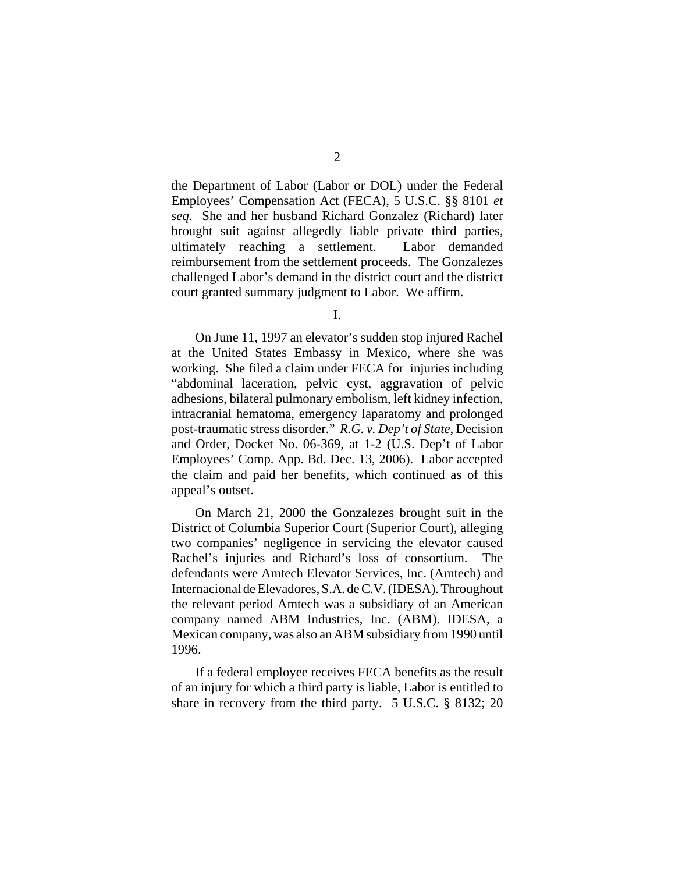the Department of Labor (Labor or DOL) under the Federal Employees' Compensation Act (FECA), 5 U.S.C. §§ 8101 *et seq.* She and her husband Richard Gonzalez (Richard) later brought suit against allegedly liable private third parties, ultimately reaching a settlement. Labor demanded reimbursement from the settlement proceeds. The Gonzalezes challenged Labor's demand in the district court and the district court granted summary judgment to Labor. We affirm.

I.

On June 11, 1997 an elevator's sudden stop injured Rachel at the United States Embassy in Mexico, where she was working. She filed a claim under FECA for injuries including "abdominal laceration, pelvic cyst, aggravation of pelvic adhesions, bilateral pulmonary embolism, left kidney infection, intracranial hematoma, emergency laparatomy and prolonged post-traumatic stress disorder." *R.G. v. Dep't of State*, Decision and Order, Docket No. 06-369, at 1-2 (U.S. Dep't of Labor Employees' Comp. App. Bd. Dec. 13, 2006). Labor accepted the claim and paid her benefits, which continued as of this appeal's outset.

On March 21, 2000 the Gonzalezes brought suit in the District of Columbia Superior Court (Superior Court), alleging two companies' negligence in servicing the elevator caused Rachel's injuries and Richard's loss of consortium. The defendants were Amtech Elevator Services, Inc. (Amtech) and Internacional de Elevadores, S.A. de C.V. (IDESA). Throughout the relevant period Amtech was a subsidiary of an American company named ABM Industries, Inc. (ABM). IDESA, a Mexican company, was also an ABM subsidiary from 1990 until 1996.

If a federal employee receives FECA benefits as the result of an injury for which a third party is liable, Labor is entitled to share in recovery from the third party. 5 U.S.C. § 8132; 20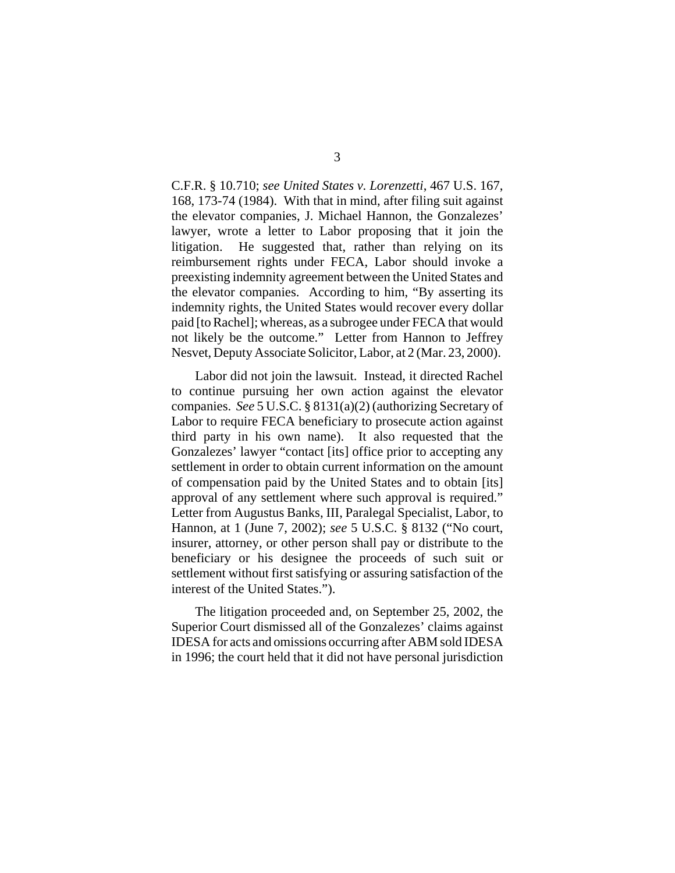C.F.R. § 10.710; *see United States v. Lorenzetti*, 467 U.S. 167, 168, 173-74 (1984). With that in mind, after filing suit against the elevator companies, J. Michael Hannon, the Gonzalezes' lawyer, wrote a letter to Labor proposing that it join the litigation. He suggested that, rather than relying on its reimbursement rights under FECA, Labor should invoke a preexisting indemnity agreement between the United States and the elevator companies. According to him, "By asserting its indemnity rights, the United States would recover every dollar paid [to Rachel]; whereas, as a subrogee under FECA that would not likely be the outcome." Letter from Hannon to Jeffrey Nesvet, Deputy Associate Solicitor, Labor, at 2 (Mar. 23, 2000).

Labor did not join the lawsuit. Instead, it directed Rachel to continue pursuing her own action against the elevator companies. *See* 5 U.S.C. § 8131(a)(2) (authorizing Secretary of Labor to require FECA beneficiary to prosecute action against third party in his own name). It also requested that the Gonzalezes' lawyer "contact [its] office prior to accepting any settlement in order to obtain current information on the amount of compensation paid by the United States and to obtain [its] approval of any settlement where such approval is required." Letter from Augustus Banks, III, Paralegal Specialist, Labor, to Hannon, at 1 (June 7, 2002); *see* 5 U.S.C. § 8132 ("No court, insurer, attorney, or other person shall pay or distribute to the beneficiary or his designee the proceeds of such suit or settlement without first satisfying or assuring satisfaction of the interest of the United States.").

The litigation proceeded and, on September 25, 2002, the Superior Court dismissed all of the Gonzalezes' claims against IDESA for acts and omissions occurring after ABM sold IDESA in 1996; the court held that it did not have personal jurisdiction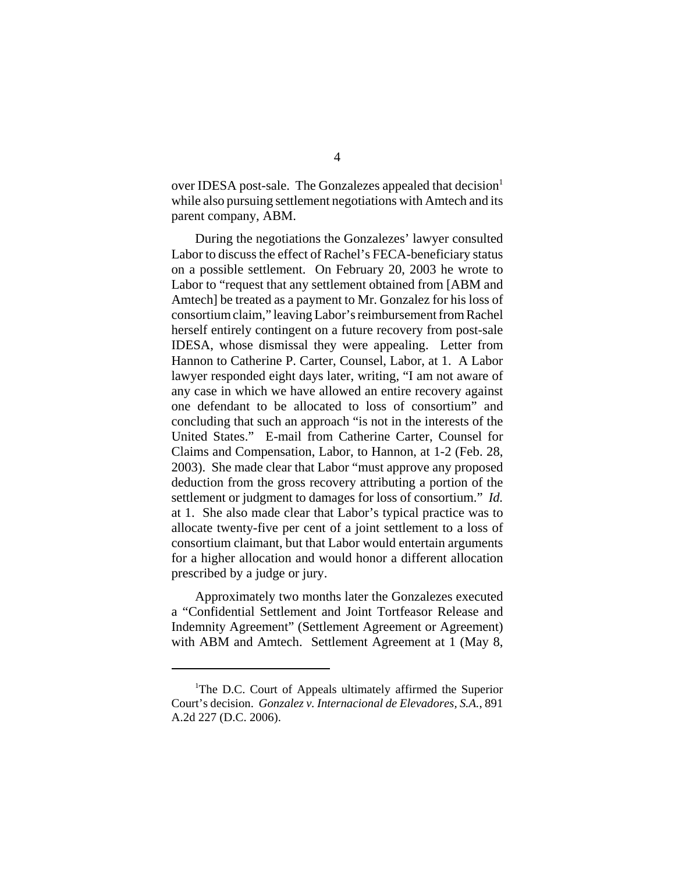over IDESA post-sale. The Gonzalezes appealed that decision<sup>1</sup> while also pursuing settlement negotiations with Amtech and its parent company, ABM.

During the negotiations the Gonzalezes' lawyer consulted Labor to discuss the effect of Rachel's FECA-beneficiary status on a possible settlement. On February 20, 2003 he wrote to Labor to "request that any settlement obtained from [ABM and Amtech] be treated as a payment to Mr. Gonzalez for his loss of consortium claim," leaving Labor's reimbursement from Rachel herself entirely contingent on a future recovery from post-sale IDESA, whose dismissal they were appealing. Letter from Hannon to Catherine P. Carter, Counsel, Labor, at 1. A Labor lawyer responded eight days later, writing, "I am not aware of any case in which we have allowed an entire recovery against one defendant to be allocated to loss of consortium" and concluding that such an approach "is not in the interests of the United States." E-mail from Catherine Carter, Counsel for Claims and Compensation, Labor, to Hannon, at 1-2 (Feb. 28, 2003). She made clear that Labor "must approve any proposed deduction from the gross recovery attributing a portion of the settlement or judgment to damages for loss of consortium." *Id.* at 1. She also made clear that Labor's typical practice was to allocate twenty-five per cent of a joint settlement to a loss of consortium claimant, but that Labor would entertain arguments for a higher allocation and would honor a different allocation prescribed by a judge or jury.

Approximately two months later the Gonzalezes executed a "Confidential Settlement and Joint Tortfeasor Release and Indemnity Agreement" (Settlement Agreement or Agreement) with ABM and Amtech. Settlement Agreement at 1 (May 8,

<sup>&</sup>lt;sup>1</sup>The D.C. Court of Appeals ultimately affirmed the Superior Court's decision. *Gonzalez v. Internacional de Elevadores, S.A.*, 891 A.2d 227 (D.C. 2006).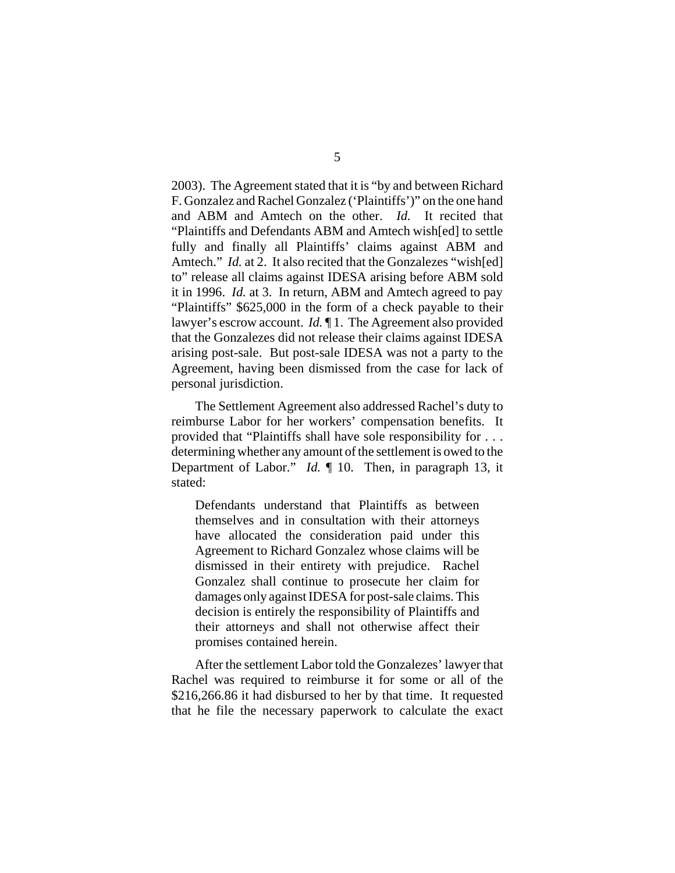2003). The Agreement stated that it is "by and between Richard F. Gonzalez and Rachel Gonzalez ('Plaintiffs')" on the one hand and ABM and Amtech on the other. *Id.* It recited that "Plaintiffs and Defendants ABM and Amtech wish[ed] to settle fully and finally all Plaintiffs' claims against ABM and Amtech." *Id.* at 2. It also recited that the Gonzalezes "wish[ed] to" release all claims against IDESA arising before ABM sold it in 1996. *Id.* at 3. In return, ABM and Amtech agreed to pay "Plaintiffs" \$625,000 in the form of a check payable to their lawyer's escrow account. *Id.* ¶ 1. The Agreement also provided that the Gonzalezes did not release their claims against IDESA arising post-sale. But post-sale IDESA was not a party to the Agreement, having been dismissed from the case for lack of personal jurisdiction.

The Settlement Agreement also addressed Rachel's duty to reimburse Labor for her workers' compensation benefits. It provided that "Plaintiffs shall have sole responsibility for . . . determining whether any amount of the settlement is owed to the Department of Labor." *Id.* ¶ 10. Then, in paragraph 13, it stated:

Defendants understand that Plaintiffs as between themselves and in consultation with their attorneys have allocated the consideration paid under this Agreement to Richard Gonzalez whose claims will be dismissed in their entirety with prejudice. Rachel Gonzalez shall continue to prosecute her claim for damages only against IDESA for post-sale claims. This decision is entirely the responsibility of Plaintiffs and their attorneys and shall not otherwise affect their promises contained herein.

After the settlement Labor told the Gonzalezes' lawyer that Rachel was required to reimburse it for some or all of the \$216,266.86 it had disbursed to her by that time. It requested that he file the necessary paperwork to calculate the exact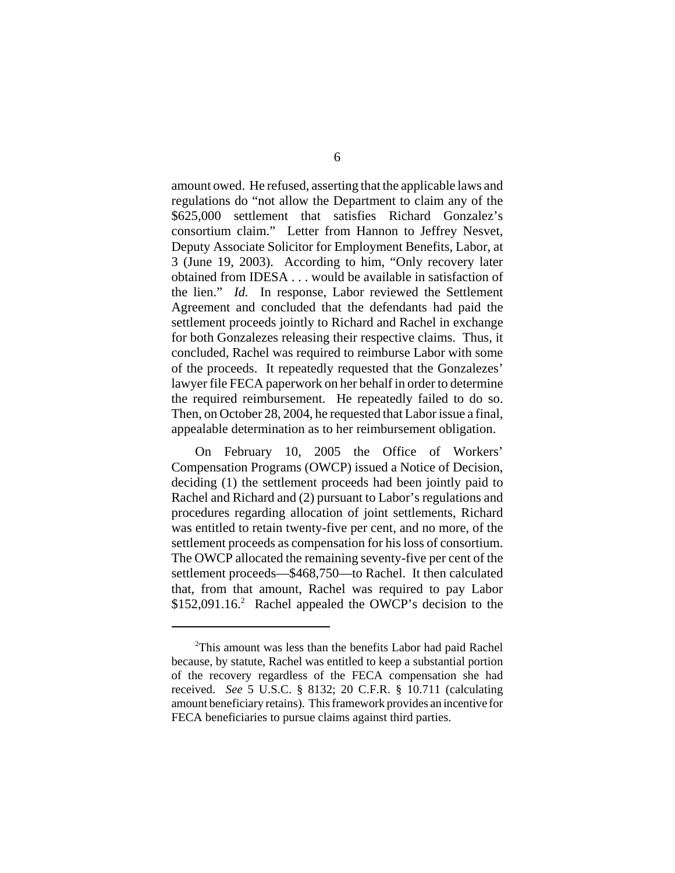amount owed. He refused, asserting that the applicable laws and regulations do "not allow the Department to claim any of the \$625,000 settlement that satisfies Richard Gonzalez's consortium claim." Letter from Hannon to Jeffrey Nesvet, Deputy Associate Solicitor for Employment Benefits, Labor, at 3 (June 19, 2003). According to him, "Only recovery later obtained from IDESA . . . would be available in satisfaction of the lien." *Id.* In response, Labor reviewed the Settlement Agreement and concluded that the defendants had paid the settlement proceeds jointly to Richard and Rachel in exchange for both Gonzalezes releasing their respective claims. Thus, it concluded, Rachel was required to reimburse Labor with some of the proceeds. It repeatedly requested that the Gonzalezes' lawyer file FECA paperwork on her behalf in order to determine the required reimbursement. He repeatedly failed to do so. Then, on October 28, 2004, he requested that Labor issue a final, appealable determination as to her reimbursement obligation.

On February 10, 2005 the Office of Workers' Compensation Programs (OWCP) issued a Notice of Decision, deciding (1) the settlement proceeds had been jointly paid to Rachel and Richard and (2) pursuant to Labor's regulations and procedures regarding allocation of joint settlements, Richard was entitled to retain twenty-five per cent, and no more, of the settlement proceeds as compensation for his loss of consortium. The OWCP allocated the remaining seventy-five per cent of the settlement proceeds—\$468,750—to Rachel. It then calculated that, from that amount, Rachel was required to pay Labor  $$152,091.16<sup>2</sup>$  Rachel appealed the OWCP's decision to the

<sup>&</sup>lt;sup>2</sup>This amount was less than the benefits Labor had paid Rachel because, by statute, Rachel was entitled to keep a substantial portion of the recovery regardless of the FECA compensation she had received. *See* 5 U.S.C. § 8132; 20 C.F.R. § 10.711 (calculating amount beneficiary retains). This framework provides an incentive for FECA beneficiaries to pursue claims against third parties.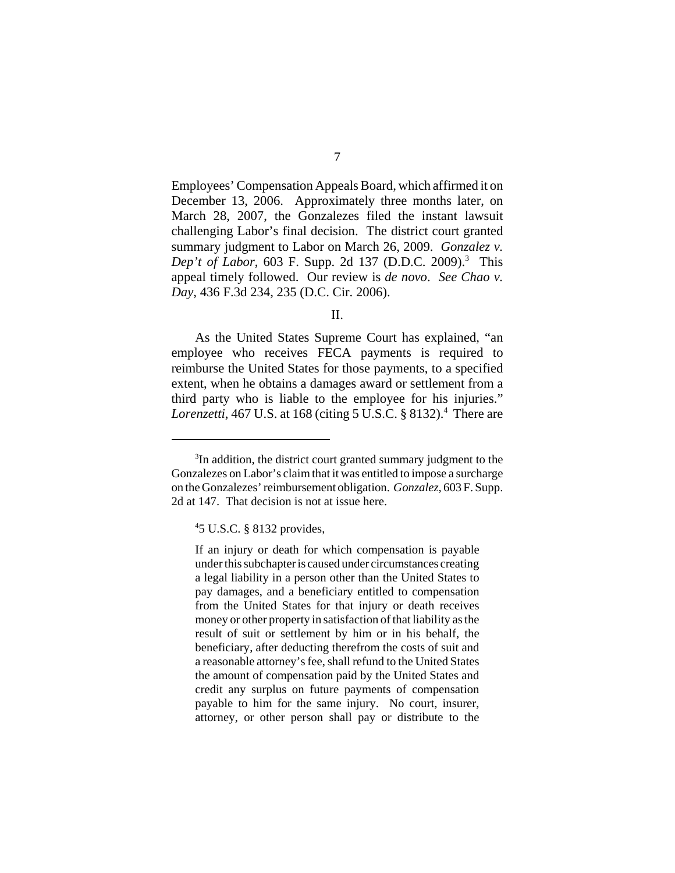Employees' Compensation Appeals Board, which affirmed it on December 13, 2006. Approximately three months later, on March 28, 2007, the Gonzalezes filed the instant lawsuit challenging Labor's final decision. The district court granted summary judgment to Labor on March 26, 2009. *Gonzalez v. Dep't of Labor*, 603 F. Supp. 2d 137 (D.D.C. 2009).<sup>3</sup> This appeal timely followed. Our review is *de novo*. *See Chao v. Day*, 436 F.3d 234, 235 (D.C. Cir. 2006).

II.

As the United States Supreme Court has explained, "an employee who receives FECA payments is required to reimburse the United States for those payments, to a specified extent, when he obtains a damages award or settlement from a third party who is liable to the employee for his injuries." Lorenzetti, 467 U.S. at 168 (citing 5 U.S.C. § 8132).<sup>4</sup> There are

<sup>&</sup>lt;sup>3</sup>In addition, the district court granted summary judgment to the Gonzalezes on Labor's claim that it was entitled to impose a surcharge on the Gonzalezes' reimbursement obligation. *Gonzalez*, 603 F. Supp. 2d at 147. That decision is not at issue here.

<sup>4</sup> 5 U.S.C. § 8132 provides,

If an injury or death for which compensation is payable under this subchapter is caused under circumstances creating a legal liability in a person other than the United States to pay damages, and a beneficiary entitled to compensation from the United States for that injury or death receives money or other property in satisfaction of that liability as the result of suit or settlement by him or in his behalf, the beneficiary, after deducting therefrom the costs of suit and a reasonable attorney's fee, shall refund to the United States the amount of compensation paid by the United States and credit any surplus on future payments of compensation payable to him for the same injury. No court, insurer, attorney, or other person shall pay or distribute to the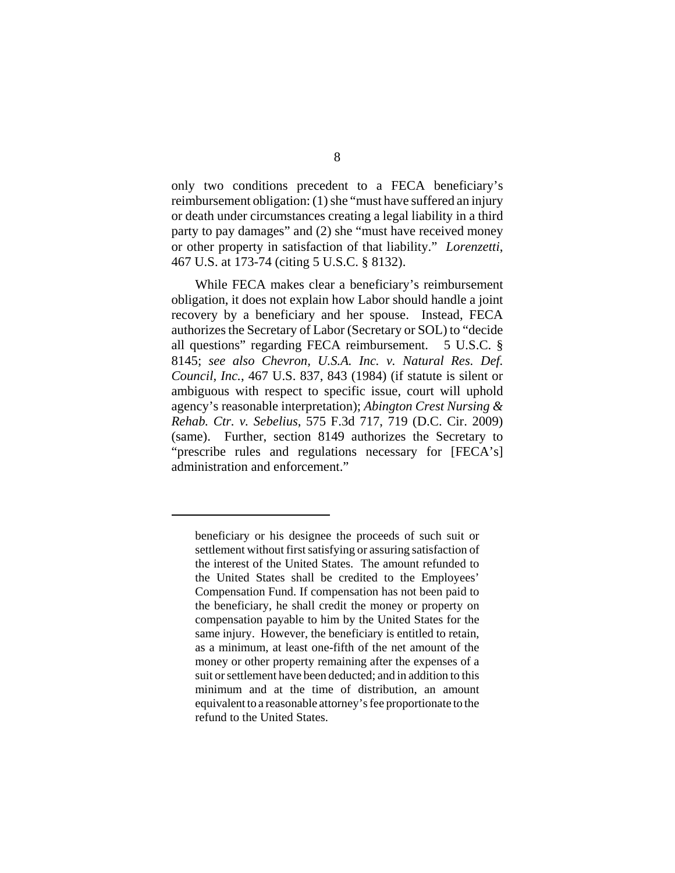only two conditions precedent to a FECA beneficiary's reimbursement obligation: (1) she "must have suffered an injury or death under circumstances creating a legal liability in a third party to pay damages" and (2) she "must have received money or other property in satisfaction of that liability." *Lorenzetti*, 467 U.S. at 173-74 (citing 5 U.S.C. § 8132).

While FECA makes clear a beneficiary's reimbursement obligation, it does not explain how Labor should handle a joint recovery by a beneficiary and her spouse. Instead, FECA authorizes the Secretary of Labor (Secretary or SOL) to "decide all questions" regarding FECA reimbursement. 5 U.S.C. § 8145; *see also Chevron, U.S.A. Inc. v. Natural Res. Def. Council, Inc.*, 467 U.S. 837, 843 (1984) (if statute is silent or ambiguous with respect to specific issue, court will uphold agency's reasonable interpretation); *Abington Crest Nursing & Rehab. Ctr. v. Sebelius*, 575 F.3d 717, 719 (D.C. Cir. 2009) (same). Further, section 8149 authorizes the Secretary to "prescribe rules and regulations necessary for [FECA's] administration and enforcement."

beneficiary or his designee the proceeds of such suit or settlement without first satisfying or assuring satisfaction of the interest of the United States. The amount refunded to the United States shall be credited to the Employees' Compensation Fund. If compensation has not been paid to the beneficiary, he shall credit the money or property on compensation payable to him by the United States for the same injury. However, the beneficiary is entitled to retain, as a minimum, at least one-fifth of the net amount of the money or other property remaining after the expenses of a suit or settlement have been deducted; and in addition to this minimum and at the time of distribution, an amount equivalent to a reasonable attorney's fee proportionate to the refund to the United States.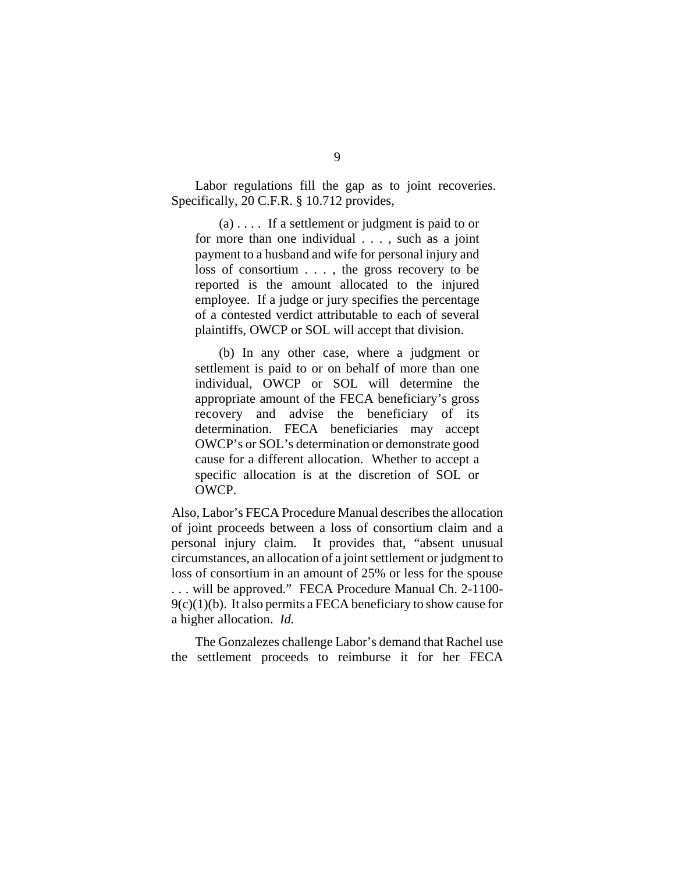Labor regulations fill the gap as to joint recoveries. Specifically, 20 C.F.R. § 10.712 provides,

 $(a)$ .... If a settlement or judgment is paid to or for more than one individual . . . , such as a joint payment to a husband and wife for personal injury and loss of consortium . . . , the gross recovery to be reported is the amount allocated to the injured employee. If a judge or jury specifies the percentage of a contested verdict attributable to each of several plaintiffs, OWCP or SOL will accept that division.

(b) In any other case, where a judgment or settlement is paid to or on behalf of more than one individual, OWCP or SOL will determine the appropriate amount of the FECA beneficiary's gross recovery and advise the beneficiary of its determination. FECA beneficiaries may accept OWCP's or SOL's determination or demonstrate good cause for a different allocation. Whether to accept a specific allocation is at the discretion of SOL or OWCP.

Also, Labor's FECA Procedure Manual describes the allocation of joint proceeds between a loss of consortium claim and a personal injury claim. It provides that, "absent unusual circumstances, an allocation of a joint settlement or judgment to loss of consortium in an amount of 25% or less for the spouse . . . will be approved." FECA Procedure Manual Ch. 2-1100-  $9(c)(1)(b)$ . It also permits a FECA beneficiary to show cause for a higher allocation. *Id.*

The Gonzalezes challenge Labor's demand that Rachel use the settlement proceeds to reimburse it for her FECA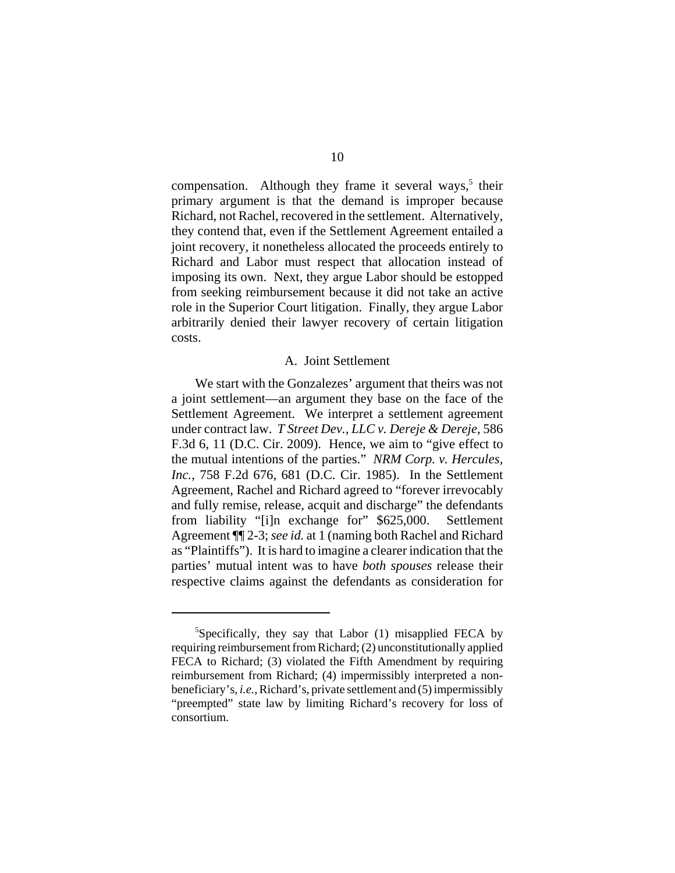compensation. Although they frame it several ways,<sup>5</sup> their primary argument is that the demand is improper because Richard, not Rachel, recovered in the settlement. Alternatively, they contend that, even if the Settlement Agreement entailed a joint recovery, it nonetheless allocated the proceeds entirely to Richard and Labor must respect that allocation instead of imposing its own. Next, they argue Labor should be estopped from seeking reimbursement because it did not take an active role in the Superior Court litigation. Finally, they argue Labor arbitrarily denied their lawyer recovery of certain litigation costs.

## A. Joint Settlement

We start with the Gonzalezes' argument that theirs was not a joint settlement—an argument they base on the face of the Settlement Agreement. We interpret a settlement agreement under contract law. *T Street Dev., LLC v. Dereje & Dereje*, 586 F.3d 6, 11 (D.C. Cir. 2009). Hence, we aim to "give effect to the mutual intentions of the parties." *NRM Corp. v. Hercules, Inc.*, 758 F.2d 676, 681 (D.C. Cir. 1985). In the Settlement Agreement, Rachel and Richard agreed to "forever irrevocably and fully remise, release, acquit and discharge" the defendants from liability "[i]n exchange for" \$625,000. Settlement Agreement ¶¶ 2-3; *see id.* at 1 (naming both Rachel and Richard as "Plaintiffs"). It is hard to imagine a clearer indication that the parties' mutual intent was to have *both spouses* release their respective claims against the defendants as consideration for

<sup>5</sup> Specifically, they say that Labor (1) misapplied FECA by requiring reimbursement from Richard; (2) unconstitutionally applied FECA to Richard; (3) violated the Fifth Amendment by requiring reimbursement from Richard; (4) impermissibly interpreted a nonbeneficiary's, *i.e.*, Richard's, private settlement and (5) impermissibly "preempted" state law by limiting Richard's recovery for loss of consortium.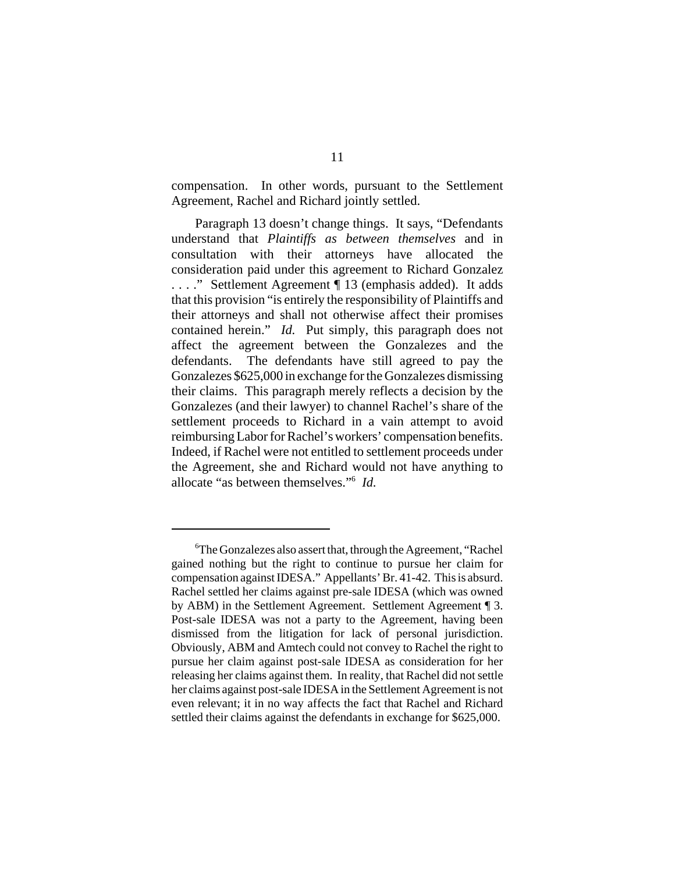compensation. In other words, pursuant to the Settlement Agreement, Rachel and Richard jointly settled.

Paragraph 13 doesn't change things. It says, "Defendants understand that *Plaintiffs as between themselves* and in consultation with their attorneys have allocated the consideration paid under this agreement to Richard Gonzalez . . . ." Settlement Agreement ¶ 13 (emphasis added). It adds that this provision "is entirely the responsibility of Plaintiffs and their attorneys and shall not otherwise affect their promises contained herein." *Id.* Put simply, this paragraph does not affect the agreement between the Gonzalezes and the defendants. The defendants have still agreed to pay the Gonzalezes \$625,000 in exchange for the Gonzalezes dismissing their claims. This paragraph merely reflects a decision by the Gonzalezes (and their lawyer) to channel Rachel's share of the settlement proceeds to Richard in a vain attempt to avoid reimbursing Labor for Rachel's workers' compensation benefits. Indeed, if Rachel were not entitled to settlement proceeds under the Agreement, she and Richard would not have anything to allocate "as between themselves."6 *Id.*

<sup>6</sup> The Gonzalezes also assert that, through the Agreement, "Rachel gained nothing but the right to continue to pursue her claim for compensation against IDESA." Appellants' Br. 41-42. This is absurd. Rachel settled her claims against pre-sale IDESA (which was owned by ABM) in the Settlement Agreement. Settlement Agreement ¶ 3. Post-sale IDESA was not a party to the Agreement, having been dismissed from the litigation for lack of personal jurisdiction. Obviously, ABM and Amtech could not convey to Rachel the right to pursue her claim against post-sale IDESA as consideration for her releasing her claims against them. In reality, that Rachel did not settle her claims against post-sale IDESA in the Settlement Agreement is not even relevant; it in no way affects the fact that Rachel and Richard settled their claims against the defendants in exchange for \$625,000.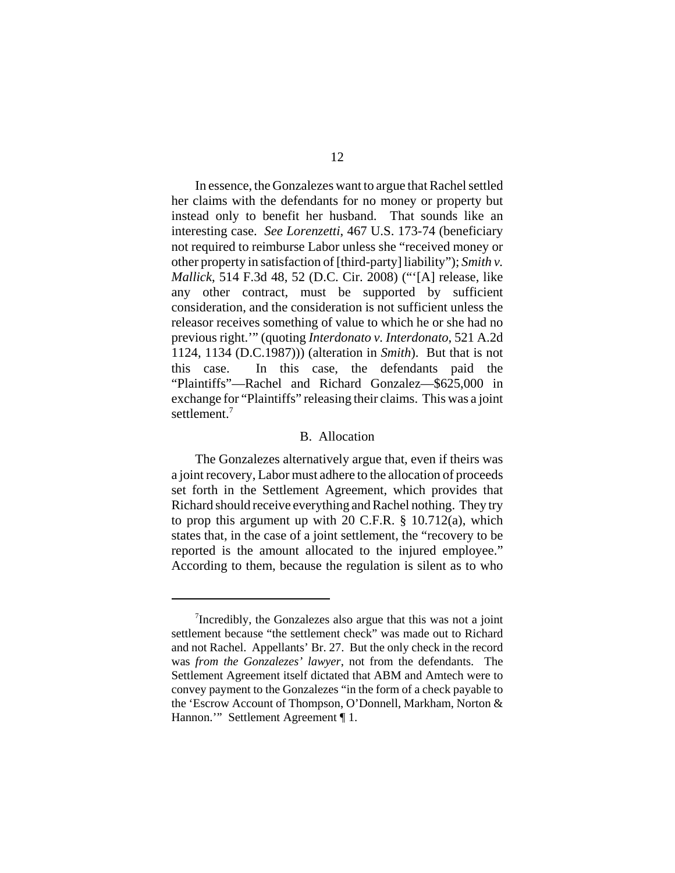In essence, the Gonzalezes want to argue that Rachel settled her claims with the defendants for no money or property but instead only to benefit her husband. That sounds like an interesting case. *See Lorenzetti*, 467 U.S. 173-74 (beneficiary not required to reimburse Labor unless she "received money or other property in satisfaction of [third-party] liability"); *Smith v. Mallick*, 514 F.3d 48, 52 (D.C. Cir. 2008) ("'[A] release, like any other contract, must be supported by sufficient consideration, and the consideration is not sufficient unless the releasor receives something of value to which he or she had no previous right.'" (quoting *Interdonato v. Interdonato*, 521 A.2d 1124, 1134 (D.C.1987))) (alteration in *Smith*). But that is not this case. In this case, the defendants paid the "Plaintiffs"—Rachel and Richard Gonzalez—\$625,000 in exchange for "Plaintiffs" releasing their claims. This was a joint settlement.<sup>7</sup>

#### B. Allocation

The Gonzalezes alternatively argue that, even if theirs was a joint recovery, Labor must adhere to the allocation of proceeds set forth in the Settlement Agreement, which provides that Richard should receive everything and Rachel nothing. They try to prop this argument up with 20 C.F.R. § 10.712(a), which states that, in the case of a joint settlement, the "recovery to be reported is the amount allocated to the injured employee." According to them, because the regulation is silent as to who

<sup>&</sup>lt;sup>7</sup>Incredibly, the Gonzalezes also argue that this was not a joint settlement because "the settlement check" was made out to Richard and not Rachel. Appellants' Br. 27. But the only check in the record was *from the Gonzalezes' lawyer*, not from the defendants. The Settlement Agreement itself dictated that ABM and Amtech were to convey payment to the Gonzalezes "in the form of a check payable to the 'Escrow Account of Thompson, O'Donnell, Markham, Norton & Hannon.'" Settlement Agreement ¶ 1.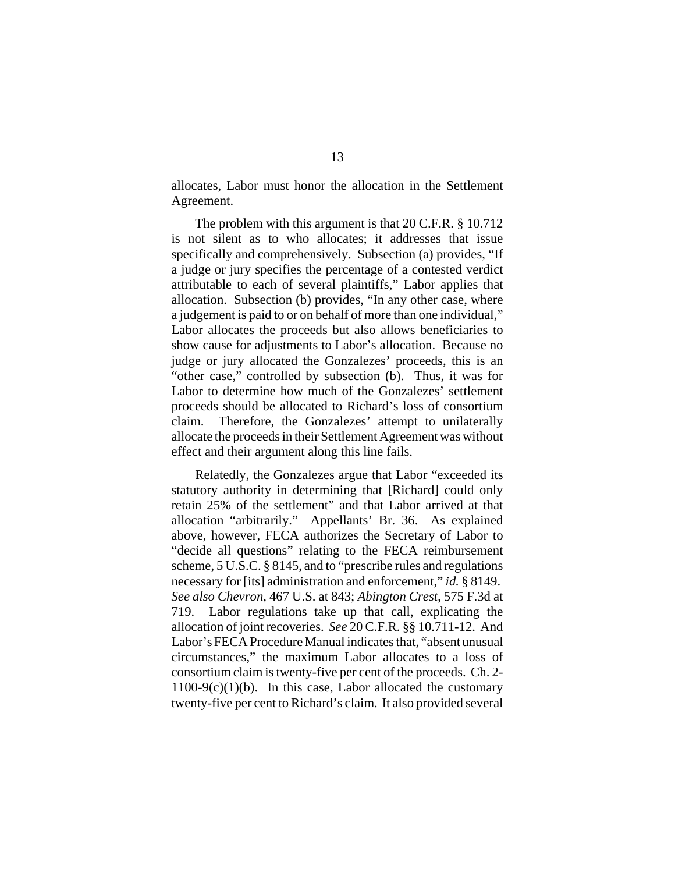allocates, Labor must honor the allocation in the Settlement Agreement.

The problem with this argument is that 20 C.F.R. § 10.712 is not silent as to who allocates; it addresses that issue specifically and comprehensively. Subsection (a) provides, "If a judge or jury specifies the percentage of a contested verdict attributable to each of several plaintiffs," Labor applies that allocation. Subsection (b) provides, "In any other case, where a judgement is paid to or on behalf of more than one individual," Labor allocates the proceeds but also allows beneficiaries to show cause for adjustments to Labor's allocation. Because no judge or jury allocated the Gonzalezes' proceeds, this is an "other case," controlled by subsection (b). Thus, it was for Labor to determine how much of the Gonzalezes' settlement proceeds should be allocated to Richard's loss of consortium claim. Therefore, the Gonzalezes' attempt to unilaterally allocate the proceeds in their Settlement Agreement was without effect and their argument along this line fails.

Relatedly, the Gonzalezes argue that Labor "exceeded its statutory authority in determining that [Richard] could only retain 25% of the settlement" and that Labor arrived at that allocation "arbitrarily." Appellants' Br. 36. As explained above, however, FECA authorizes the Secretary of Labor to "decide all questions" relating to the FECA reimbursement scheme, 5 U.S.C. § 8145, and to "prescribe rules and regulations necessary for [its] administration and enforcement," *id.* § 8149. *See also Chevron*, 467 U.S. at 843; *Abington Crest*, 575 F.3d at 719. Labor regulations take up that call, explicating the allocation of joint recoveries. *See* 20 C.F.R. §§ 10.711-12. And Labor's FECA Procedure Manual indicates that, "absent unusual circumstances," the maximum Labor allocates to a loss of consortium claim is twenty-five per cent of the proceeds. Ch. 2-  $1100-9(c)(1)(b)$ . In this case, Labor allocated the customary twenty-five per cent to Richard's claim. It also provided several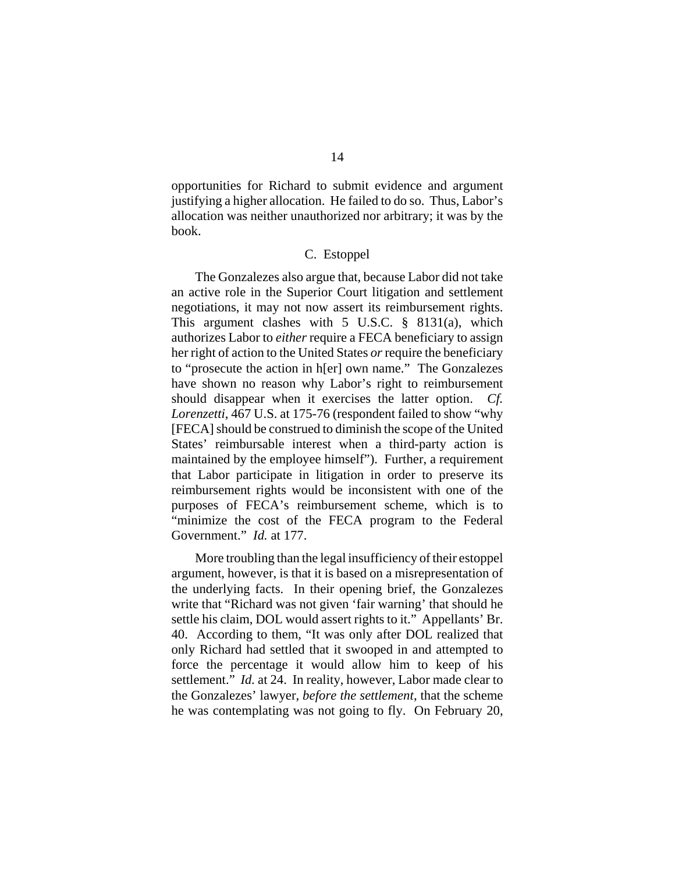opportunities for Richard to submit evidence and argument justifying a higher allocation. He failed to do so. Thus, Labor's allocation was neither unauthorized nor arbitrary; it was by the book.

# C. Estoppel

The Gonzalezes also argue that, because Labor did not take an active role in the Superior Court litigation and settlement negotiations, it may not now assert its reimbursement rights. This argument clashes with 5 U.S.C. § 8131(a), which authorizes Labor to *either* require a FECA beneficiary to assign her right of action to the United States *or* require the beneficiary to "prosecute the action in h[er] own name." The Gonzalezes have shown no reason why Labor's right to reimbursement should disappear when it exercises the latter option. *Cf. Lorenzetti*, 467 U.S. at 175-76 (respondent failed to show "why [FECA] should be construed to diminish the scope of the United States' reimbursable interest when a third-party action is maintained by the employee himself"). Further, a requirement that Labor participate in litigation in order to preserve its reimbursement rights would be inconsistent with one of the purposes of FECA's reimbursement scheme, which is to "minimize the cost of the FECA program to the Federal Government." *Id.* at 177.

More troubling than the legal insufficiency of their estoppel argument, however, is that it is based on a misrepresentation of the underlying facts. In their opening brief, the Gonzalezes write that "Richard was not given 'fair warning' that should he settle his claim, DOL would assert rights to it." Appellants' Br. 40. According to them, "It was only after DOL realized that only Richard had settled that it swooped in and attempted to force the percentage it would allow him to keep of his settlement." *Id.* at 24. In reality, however, Labor made clear to the Gonzalezes' lawyer, *before the settlement*, that the scheme he was contemplating was not going to fly. On February 20,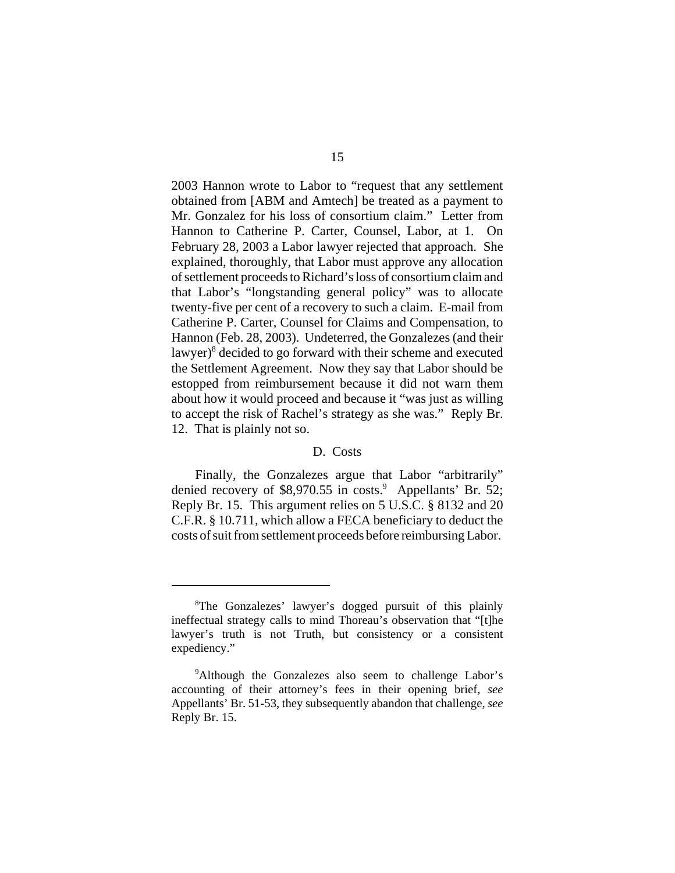2003 Hannon wrote to Labor to "request that any settlement obtained from [ABM and Amtech] be treated as a payment to Mr. Gonzalez for his loss of consortium claim." Letter from Hannon to Catherine P. Carter, Counsel, Labor, at 1. On February 28, 2003 a Labor lawyer rejected that approach. She explained, thoroughly, that Labor must approve any allocation of settlement proceeds to Richard's loss of consortium claim and that Labor's "longstanding general policy" was to allocate twenty-five per cent of a recovery to such a claim. E-mail from Catherine P. Carter, Counsel for Claims and Compensation, to Hannon (Feb. 28, 2003). Undeterred, the Gonzalezes (and their lawyer)<sup>8</sup> decided to go forward with their scheme and executed the Settlement Agreement. Now they say that Labor should be estopped from reimbursement because it did not warn them about how it would proceed and because it "was just as willing to accept the risk of Rachel's strategy as she was." Reply Br. 12. That is plainly not so.

## D. Costs

Finally, the Gonzalezes argue that Labor "arbitrarily" denied recovery of \$8,970.55 in costs.<sup>9</sup> Appellants' Br. 52; Reply Br. 15. This argument relies on 5 U.S.C. § 8132 and 20 C.F.R. § 10.711, which allow a FECA beneficiary to deduct the costs of suit from settlement proceeds before reimbursing Labor.

<sup>8</sup> The Gonzalezes' lawyer's dogged pursuit of this plainly ineffectual strategy calls to mind Thoreau's observation that "[t]he lawyer's truth is not Truth, but consistency or a consistent expediency."

<sup>&</sup>lt;sup>9</sup>Although the Gonzalezes also seem to challenge Labor's accounting of their attorney's fees in their opening brief, *see* Appellants' Br. 51-53, they subsequently abandon that challenge, *see* Reply Br. 15.